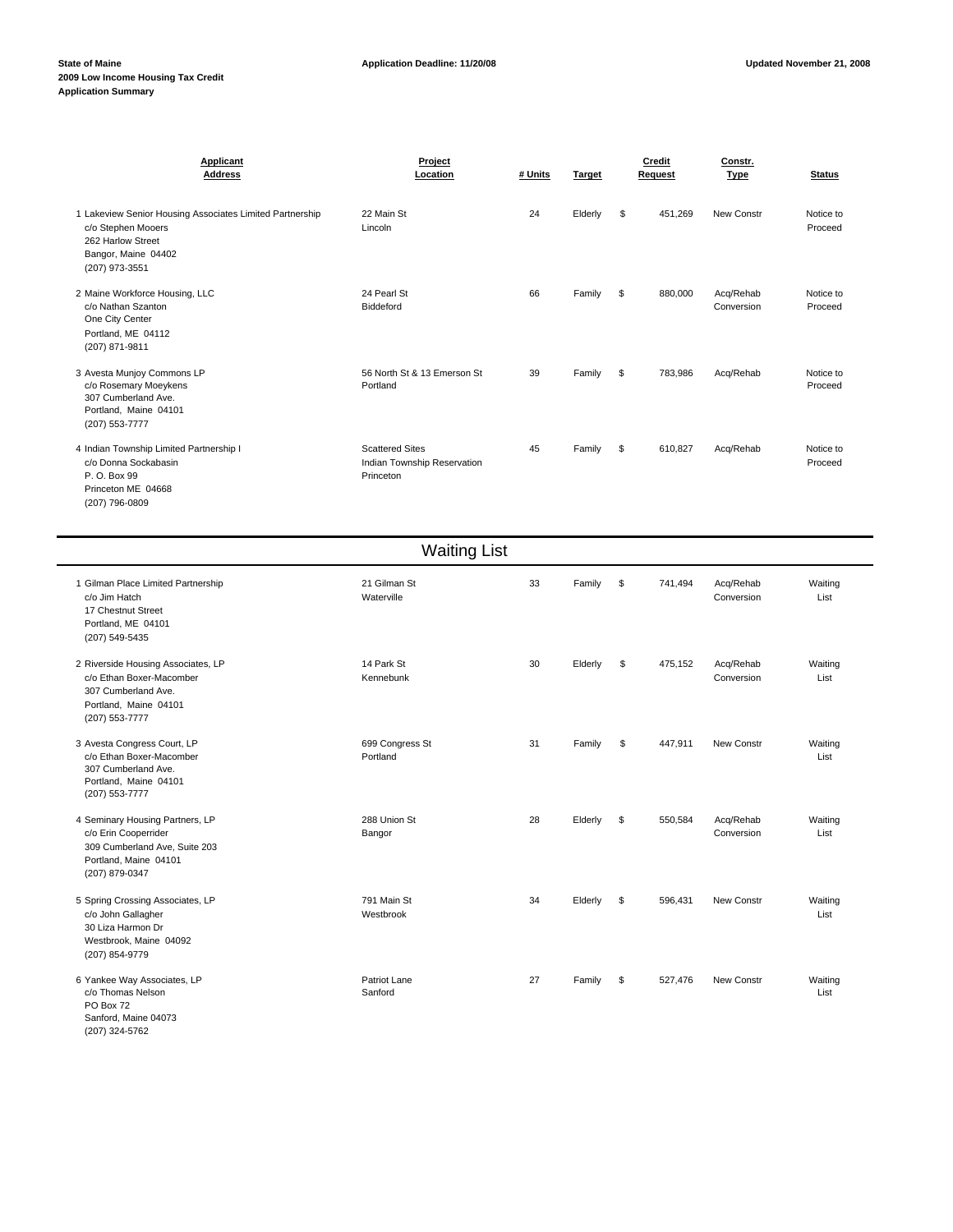| Applicant<br><b>Address</b>                                                                                                                  | Project<br>Location                                                | # Units | Target  |    | Credit<br>Request | Constr.<br><b>Type</b>  | <b>Status</b>        |
|----------------------------------------------------------------------------------------------------------------------------------------------|--------------------------------------------------------------------|---------|---------|----|-------------------|-------------------------|----------------------|
| 1 Lakeview Senior Housing Associates Limited Partnership<br>c/o Stephen Mooers<br>262 Harlow Street<br>Bangor, Maine 04402<br>(207) 973-3551 | 22 Main St<br>Lincoln                                              | 24      | Elderly | \$ | 451,269           | New Constr              | Notice to<br>Proceed |
| 2 Maine Workforce Housing, LLC<br>c/o Nathan Szanton<br>One City Center<br>Portland, ME 04112<br>(207) 871-9811                              | 24 Pearl St<br>Biddeford                                           | 66      | Family  | S  | 880,000           | Acq/Rehab<br>Conversion | Notice to<br>Proceed |
| 3 Avesta Munjoy Commons LP<br>c/o Rosemary Moeykens<br>307 Cumberland Ave.<br>Portland, Maine 04101<br>(207) 553-7777                        | 56 North St & 13 Emerson St<br>Portland                            | 39      | Family  | s. | 783.986           | Acq/Rehab               | Notice to<br>Proceed |
| 4 Indian Township Limited Partnership I<br>c/o Donna Sockabasin<br>P. O. Box 99<br>Princeton ME 04668                                        | <b>Scattered Sites</b><br>Indian Township Reservation<br>Princeton | 45      | Family  | S  | 610,827           | Acq/Rehab               | Notice to<br>Proceed |

Waiting List 1 Gilman Place Limited Partnership 21 Gilman St 21 Gilman St 33 Family \$741,494 Acq/Rehab Waiting c/o Jim Hatch Waterville Conversion List 17 Chestnut Street Portland, ME 04101 (207) 549-5435 2 Riverside Housing Associates, LP 14 Park St 14 Park St 30 Elderly \$ 475,152 Acq/Rehab Waiting c/o Ethan Boxer-Macomber Kennebunk Conversion List 307 Cumberland Ave. Portland, Maine 04101 (207) 553-7777 3 Avesta Congress Court, LP 699 Congress St 31 Family \$ 447,911 New Constr Waiting c/o Ethan Boxer-Macomber Portland List 307 Cumberland Ave. Portland, Maine 04101 (207) 553-7777 4 Seminary Housing Partners, LP 28 Union St 288 Union St 28 28 Elderly \$ 550,584 Acq/Rehab Waiting c/o Erin Cooperrider Bangor Conversion List 309 Cumberland Ave, Suite 203 Portland, Maine 04101 (207) 879-0347 5 Spring Crossing Associates, LP 596,431 New Constr 34 Elderly 10 and Strong and Strong Main Strong 2011 Main St<br>Co John Gallagher Computer Strong Mestbrook New Your Westbrook List c/o John Gallagher Westbrook

30 Liza Harmon Dr Westbrook, Maine 04092 (207) 854-9779 6 Yankee Way Associates, LP **Patriot Lane** Patriot Lane **27** Family \$ 527,476 New Constr Waiting c/o Thomas Nelson **Sanford Sanford Sanford Sanford Community Community Community Community Community Community Community Community Community Community Community Community Community Communi** PO Box 72

Sanford, Maine 04073 (207) 324-5762

(207) 796-0809